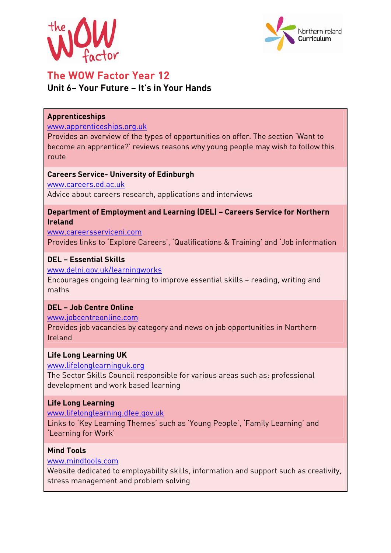



# The WOW Factor Year 12 **Unit 6– Your Future – It's in Your Hands**

#### **Apprenticeships**

#### www.apprenticeships.org.uk

Provides an overview of the types of opportunities on offer. The section 'Want to become an apprentice?' reviews reasons why young people may wish to follow this route

#### **Careers Service- University of Edinburgh**

www.careers.ed.ac.uk Advice about careers research, applications and interviews

### **Department of Employment and Learning (DEL) – Careers Service for Northern Ireland**

www.careersserviceni.com Provides links to 'Explore Careers', 'Qualifications & Training' and 'Job information

# **DEL – Essential Skills**

www.delni.gov.uk/learningworks

Encourages ongoing learning to improve essential skills – reading, writing and maths

# **DEL – Job Centre Online**

www.jobcentreonline.com

Provides job vacancies by category and news on job opportunities in Northern Ireland

#### **Life Long Learning UK**

www.lifelonglearninguk.org

The Sector Skills Council responsible for various areas such as: professional development and work based learning

# **Life Long Learning**

www.lifelonglearning.dfee.gov.uk

Links to 'Key Learning Themes' such as 'Young People', 'Family Learning' and 'Learning for Work'

## **Mind Tools**

www.mindtools.com

Website dedicated to employability skills, information and support such as creativity, stress management and problem solving